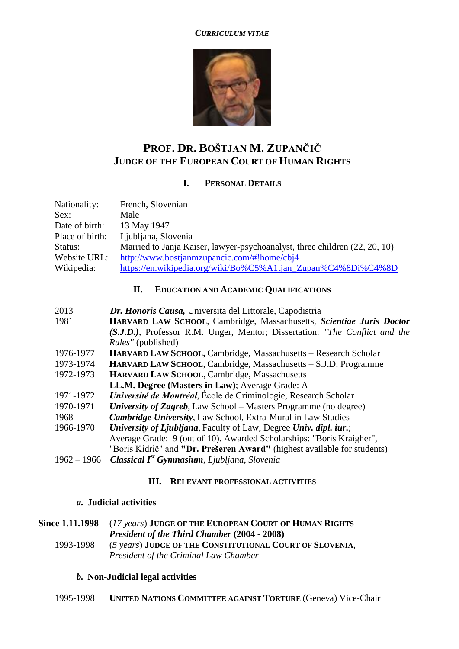#### *CURRICULUM VITAE*



# **PROF. DR. BOŠTJAN M. ZUPANČIČ JUDGE OF THE EUROPEAN COURT OF HUMAN RIGHTS**

# **I. PERSONAL DETAILS**

| Nationality:    | French, Slovenian                                                          |  |  |  |  |  |
|-----------------|----------------------------------------------------------------------------|--|--|--|--|--|
| Sex:            | Male                                                                       |  |  |  |  |  |
| Date of birth:  | 13 May 1947                                                                |  |  |  |  |  |
| Place of birth: | Ljubljana, Slovenia                                                        |  |  |  |  |  |
| Status:         | Married to Janja Kaiser, lawyer-psychoanalyst, three children (22, 20, 10) |  |  |  |  |  |
| Website URL:    | http://www.bostjanmzupancic.com/#!home/cbj4                                |  |  |  |  |  |
| Wikipedia:      | https://en.wikipedia.org/wiki/Bo%C5%A1tjan Zupan%C4%8Di%C4%8D              |  |  |  |  |  |

### **II. EDUCATION AND ACADEMIC QUALIFICATIONS**

| 2013                                                      | Dr. Honoris Causa, Universita del Littorale, Capodistria                    |  |  |  |  |
|-----------------------------------------------------------|-----------------------------------------------------------------------------|--|--|--|--|
| 1981                                                      | HARVARD LAW SCHOOL, Cambridge, Massachusetts, Scientiae Juris Doctor        |  |  |  |  |
|                                                           | (S.J.D.), Professor R.M. Unger, Mentor; Dissertation: "The Conflict and the |  |  |  |  |
|                                                           | <i>Rules"</i> (published)                                                   |  |  |  |  |
| 1976-1977                                                 | HARVARD LAW SCHOOL, Cambridge, Massachusetts - Research Scholar             |  |  |  |  |
| 1973-1974                                                 | HARVARD LAW SCHOOL, Cambridge, Massachusetts - S.J.D. Programme             |  |  |  |  |
| HARVARD LAW SCHOOL, Cambridge, Massachusetts<br>1972-1973 |                                                                             |  |  |  |  |
|                                                           | LL.M. Degree (Masters in Law); Average Grade: A-                            |  |  |  |  |
| 1971-1972                                                 | Université de Montréal, École de Criminologie, Research Scholar             |  |  |  |  |
| 1970-1971                                                 | University of Zagreb, Law School – Masters Programme (no degree)            |  |  |  |  |
| 1968                                                      | <b>Cambridge University, Law School, Extra-Mural in Law Studies</b>         |  |  |  |  |
| 1966-1970                                                 | <i>University of Ljubljana, Faculty of Law, Degree Univ. dipl. iur.;</i>    |  |  |  |  |
|                                                           | Average Grade: 9 (out of 10). Awarded Scholarships: "Boris Kraigher",       |  |  |  |  |
|                                                           | "Boris Kidrič" and "Dr. Prešeren Award" (highest available for students)    |  |  |  |  |
| $1962 - 1966$                                             | <b>Classical I<sup>st</sup> Gymnasium</b> , Ljubljana, Slovenia             |  |  |  |  |

#### **III. RELEVANT PROFESSIONAL ACTIVITIES**

## *a.* **Judicial activities**

**Since 1.11.1998** (*17 years*) **JUDGE OF THE EUROPEAN COURT OF HUMAN RIGHTS** *President of the Third Chamber* **(2004 - 2008)** 1993-1998 (*5 years*) **JUDGE OF THE CONSTITUTIONAL COURT OF SLOVENIA**, *President of the Criminal Law Chamber*

#### *b.* **Non-Judicial legal activities**

| 1995-1998 | <b>UNITED NATIONS COMMITTEE AGAINST TORTURE (Geneva) Vice-Chair</b> |  |  |
|-----------|---------------------------------------------------------------------|--|--|
|-----------|---------------------------------------------------------------------|--|--|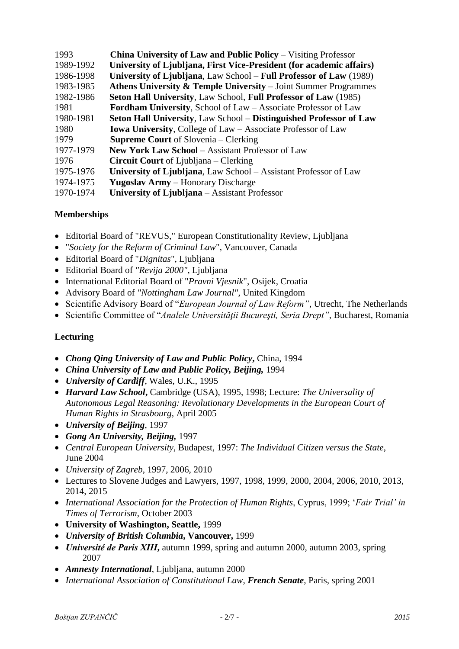| 1993      | <b>China University of Law and Public Policy – Visiting Professor</b>     |
|-----------|---------------------------------------------------------------------------|
| 1989-1992 | University of Ljubljana, First Vice-President (for academic affairs)      |
| 1986-1998 | University of Ljubljana, Law School – Full Professor of Law (1989)        |
| 1983-1985 | Athens University $\&$ Temple University – Joint Summer Programmes        |
| 1982-1986 | Seton Hall University, Law School, Full Professor of Law (1985)           |
| 1981      | <b>Fordham University, School of Law – Associate Professor of Law</b>     |
| 1980-1981 | <b>Seton Hall University, Law School – Distinguished Professor of Law</b> |
| 1980      | <b>Iowa University, College of Law - Associate Professor of Law</b>       |
| 1979      | <b>Supreme Court</b> of Slovenia – Clerking                               |
| 1977-1979 | <b>New York Law School – Assistant Professor of Law</b>                   |
| 1976      | <b>Circuit Court</b> of Ljubljana – Clerking                              |
| 1975-1976 | University of Ljubljana, Law School – Assistant Professor of Law          |
| 1974-1975 | <b>Yugoslav Army</b> – Honorary Discharge                                 |
| 1970-1974 | University of Ljubljana – Assistant Professor                             |

# **Memberships**

- Editorial Board of "REVUS," European Constitutionality Review, Ljubljana
- "*Society for the Reform of Criminal Law*", Vancouver, Canada
- Editorial Board of "*Dignitas*", Ljubljana
- Editorial Board of *"Revija 2000"*, Ljubljana
- International Editorial Board of "*Pravni Vjesnik*", Osijek, Croatia
- Advisory Board of *"Nottingham Law Journal"*, United Kingdom
- Scientific Advisory Board of "*European Journal of Law Reform"*, Utrecht, The Netherlands
- Scientific Committee of "*Analele Universităţii Bucureşti, Seria Drept"*, Bucharest, Romania

# **Lecturing**

- *Chong Qing University of Law and Public Policy***,** China, 1994
- *China University of Law and Public Policy, Beijing,* 1994
- *University of Cardiff*, Wales, U.K., 1995
- *Harvard Law School***,** Cambridge (USA), 1995, 1998; Lecture: *The Universality of Autonomous Legal Reasoning: Revolutionary Developments in the European Court of Human Rights in Strasbourg*, April 2005
- *University of Beijing*, 1997
- *Gong An University, Beijing,* 1997
- *Central European University*, Budapest, 1997: *The Individual Citizen versus the State*, June 2004
- *University of Zagreb*, 1997, 2006, 2010
- Lectures to Slovene Judges and Lawyers, 1997, 1998, 1999, 2000, 2004, 2006, 2010, 2013, 2014, 2015
- *International Association for the Protection of Human Rights*, Cyprus, 1999; '*Fair Trial' in Times of Terrorism*, October 2003
- **University of Washington, Seattle,** 1999
- *University of British Columbia***, Vancouver,** 1999
- *Université de Paris XIII***,** autumn 1999, spring and autumn 2000, autumn 2003, spring 2007
- *Amnesty International*, Ljubljana, autumn 2000
- *International Association of Constitutional Law*, *French Senate*, Paris, spring 2001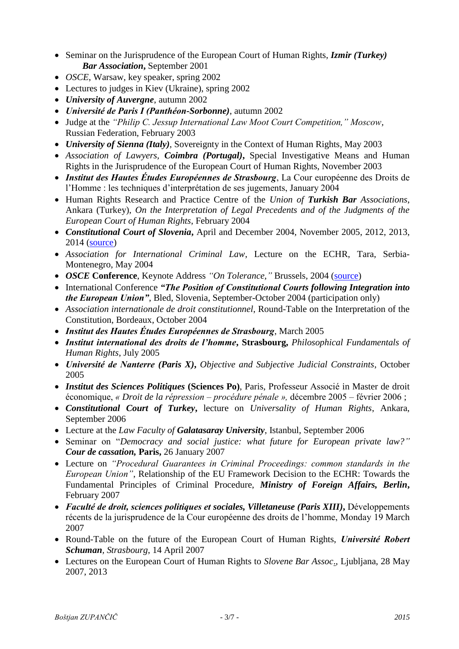- Seminar on the Jurisprudence of the European Court of Human Rights, *Izmir (Turkey) Bar Association***,** September 2001
- *OSCE*, Warsaw, key speaker, spring 2002
- Lectures to judges in Kiev (Ukraine), spring 2002
- *University of Auvergne*, autumn 2002
- *Université de Paris I (Panthéon-Sorbonne)*, autumn 2002
- Judge at the *"Philip C. Jessup International Law Moot Court Competition," Moscow,* Russian Federation, February 2003
- *University of Sienna (Italy)*, Sovereignty in the Context of Human Rights, May 2003
- *Association of Lawyers, Coimbra (Portugal)***,** Special Investigative Means and Human Rights in the Jurisprudence of the European Court of Human Rights, November 2003
- *Institut des Hautes Études Européennes de Strasbourg*, La Cour européenne des Droits de l'Homme : les techniques d'interprétation de ses jugements, January 2004
- Human Rights Research and Practice Centre of the *Union of Turkish Bar Associations*, Ankara (Turkey), *On the Interpretation of Legal Precedents and of the Judgments of the European Court of Human Rights*, February 2004
- *Constitutional Court of Slovenia***,** April and December 2004, November 2005, 2012, 2013, 2014 [\(source\)](http://www.us-rs.si/en/news/headlines/official-visit-of-dr-bostjan-m-zupancic-judge-of-t/)
- *Association for International Criminal Law*, Lecture on the ECHR, Tara, Serbia-Montenegro, May 2004
- *OSCE* **Conference**, Keynote Address *"On Tolerance,"* Brussels, 2004 [\(source\)](http://www.osce.org/cio/36934?download=true)
- International Conference *"The Position of Constitutional Courts following Integration into the European Union"*, Bled, Slovenia, September-October 2004 (participation only)
- *Association internationale de droit constitutionnel*, Round-Table on the Interpretation of the Constitution, Bordeaux, October 2004
- *Institut des Hautes Études Européennes de Strasbourg*, March 2005
- *Institut international des droits de l'homme***, Strasbourg,** *Philosophical Fundamentals of Human Rights*, July 2005
- *Université de Nanterre (Paris X)***,** *Objective and Subjective Judicial Constraints*, October 2005
- *Institut des Sciences Politiques* **(Sciences Po)**, Paris, Professeur Associé in Master de droit économique, *« Droit de la répression – procédure pénale »,* décembre 2005 – février 2006 ;
- *Constitutional Court of Turkey***,** lecture on *Universality of Human Rights*, Ankara, September 2006
- Lecture at the *Law Faculty of Galatasaray University*, Istanbul, September 2006
- Seminar on "*Democracy and social justice: what future for European private law?" Cour de cassation,* **Paris,** 26 January 2007
- Lecture on *"Procedural Guarantees in Criminal Proceedings: common standards in the European Union"*, Relationship of the EU Framework Decision to the ECHR: Towards the Fundamental Principles of Criminal Procedure, *Ministry of Foreign Affairs, Berlin***,** February 2007
- *Faculté de droit, sciences politiques et sociales, Villetaneuse (Paris XIII)***,** Développements récents de la jurisprudence de la Cour européenne des droits de l'homme, Monday 19 March 2007
- Round-Table on the future of the European Court of Human Rights, *Université Robert Schuman, Strasbourg*, 14 April 2007
- Lectures on the European Court of Human Rights to *Slovene Bar Assoc*., Ljubljana, 28 May 2007, 2013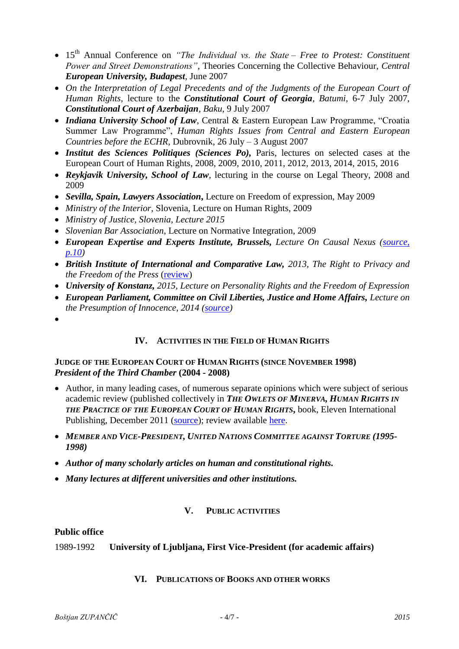- 15<sup>th</sup> Annual Conference on *"The Individual vs. the State Free to Protest: Constituent Power and Street Demonstrations"*, Theories Concerning the Collective Behaviour, *Central European University, Budapest,* June 2007
- *On the Interpretation of Legal Precedents and of the Judgments of the European Court of Human Rights*, lecture to the *Constitutional Court of Georgia, Batumi*, 6-7 July 2007, *Constitutional Court of Azerbaijan, Baku*, 9 July 2007
- *Indiana University School of Law*, Central & Eastern European Law Programme, "Croatia Summer Law Programme", *Human Rights Issues from Central and Eastern European Countries before the ECHR*, Dubrovnik, 26 July – 3 August 2007
- *Institut des Sciences Politiques (Sciences Po),* Paris, lectures on selected cases at the European Court of Human Rights, 2008, 2009, 2010, 2011, 2012, 2013, 2014, 2015, 2016
- *Reykjavik University, School of Law*, lecturing in the course on Legal Theory, 2008 and 2009
- *Sevilla, Spain, Lawyers Association***,** Lecture on Freedom of expression, May 2009
- *Ministry of the Interior*, Slovenia, Lecture on Human Rights, 2009
- *Ministry of Justice, Slovenia, Lecture 2015*
- *Slovenian Bar Association*, Lecture on Normative Integration, 2009
- *European Expertise and Experts Institute, Brussels, Lecture On Causal Nexus [\(source,](http://gb.experts-institute.eu/IMG/pdf/actes_du_colloque_eng.pdf)  [p.10\)](http://gb.experts-institute.eu/IMG/pdf/actes_du_colloque_eng.pdf)*
- *British Institute of International and Comparative Law, 2013, The Right to Privacy and the Freedom of the Press* [\(review\)](http://www.biicl.org/files/6642_event_report_-_23_may_2013.pdf)
- *University of Konstanz, 2015, Lecture on Personality Rights and the Freedom of Expression*
- **European Parliament, Committee on Civil Liberties, Justice and Home Affairs, Lecture on** *the Presumption of Innocence, 2014 [\(source\)](http://www.europarl.europa.eu/meetdocs/2014_2019/documents/libe/dv/hearing_programme_/hearing_programme_en.pdf)*
- $\bullet$

# **IV. ACTIVITIES IN THE FIELD OF HUMAN RIGHTS**

### **JUDGE OF THE EUROPEAN COURT OF HUMAN RIGHTS (SINCE NOVEMBER 1998)** *President of the Third Chamber* **(2004 - 2008)**

- Author, in many leading cases, of numerous separate opinions which were subject of serious academic review (published collectively in *THE OWLETS OF MINERVA, HUMAN RIGHTS IN THE PRACTICE OF THE EUROPEAN COURT OF HUMAN RIGHTS***,** book, Eleven International Publishing, December 2011 [\(source\)](http://media.wix.com/ugd/a060a3_2810c480b93e4df29869a136bdb431c9.pdf); review available [here.](http://journals.cambridge.org/action/displayAbstract?fromPage=online&aid=8881001&fileId=S0020589313000110)
- *MEMBER AND VICE-PRESIDENT, UNITED NATIONS COMMITTEE AGAINST TORTURE (1995- 1998)*
- *Author of many scholarly articles on human and constitutional rights.*
- *Many lectures at different universities and other institutions.*

#### **V. PUBLIC ACTIVITIES**

#### **Public office**

1989-1992 **University of Ljubljana, First Vice-President (for academic affairs)**

#### **VI. PUBLICATIONS OF BOOKS AND OTHER WORKS**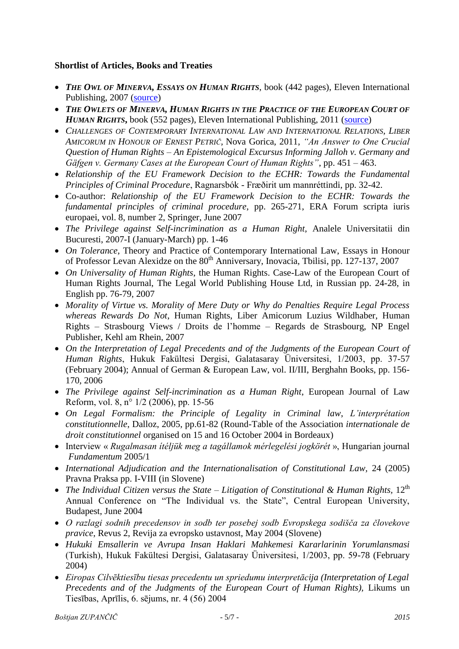# **Shortlist of Articles, Books and Treaties**

- *THE OWL OF MINERVA, ESSAYS ON HUMAN RIGHTS*, book (442 pages), Eleven International Publishing, 2007 [\(source\)](http://media.wix.com/ugd/a060a3_0d0a305fa8bd494280c6339f49898886.pdf)
- *THE OWLETS OF MINERVA, HUMAN RIGHTS IN THE PRACTICE OF THE EUROPEAN COURT OF HUMAN RIGHTS***,** book (552 pages), Eleven International Publishing, 2011 [\(source\)](http://media.wix.com/ugd/a060a3_2810c480b93e4df29869a136bdb431c9.pdf)
- *CHALLENGES OF CONTEMPORARY INTERNATIONAL LAW AND INTERNATIONAL RELATIONS, LIBER AMICORUM IN HONOUR OF ERNEST PETRIČ,* Nova Gorica, 2011, *"An Answer to One Crucial Question of Human Rights – An Epistemological Excursus Informing Jalloh v. Germany and Gäfgen v. Germany Cases at the European Court of Human Rights"*, pp. 451 – 463.
- *Relationship of the EU Framework Decision to the ECHR: Towards the Fundamental Principles of Criminal Procedure*, Ragnarsbók - Fræðirit um mannréttindi, pp. 32-42.
- Co-author: *Relationship of the EU Framework Decision to the ECHR: Towards the fundamental principles of criminal procedure*, pp. 265-271, ERA Forum scripta iuris europaei, vol. 8, number 2, Springer, June 2007
- *The Privilege against Self-incrimination as a Human Right*, Analele Universitatii din Bucuresti, 2007-I (January-March) pp. 1-46
- *On Tolerance*, Theory and Practice of Contemporary International Law, Essays in Honour of Professor Levan Alexidze on the 80<sup>th</sup> Anniversary, Inovacia, Tbilisi, pp. 127-137, 2007
- *On Universality of Human Rights*, the Human Rights. Case-Law of the European Court of Human Rights Journal, The Legal World Publishing House Ltd, in Russian pp. 24-28, in English pp. 76-79, 2007
- *Morality of Virtue vs. Morality of Mere Duty or Why do Penalties Require Legal Process whereas Rewards Do Not*, Human Rights, Liber Amicorum Luzius Wildhaber, Human Rights – Strasbourg Views / Droits de l'homme – Regards de Strasbourg, NP Engel Publisher, Kehl am Rhein, 2007
- *On the Interpretation of Legal Precedents and of the Judgments of the European Court of Human Rights*, Hukuk Fakültesi Dergisi, Galatasaray Üniversitesi, 1/2003, pp. 37-57 (February 2004); Annual of German & European Law, vol. II/III, Berghahn Books, pp. 156- 170, 2006
- *The Privilege against Self-incrimination as a Human Right*, European Journal of Law Reform, vol. 8, n° 1/2 (2006), pp. 15-56
- *On Legal Formalism: the Principle of Legality in Criminal law*, *L'interprétation constitutionnelle*, Dalloz, 2005, pp.61-82 (Round-Table of the Association *internationale de droit constitutionnel* organised on 15 and 16 October 2004 in Bordeaux)
- Interview « *Rugalmasan ítéljük meg a tagállamok mérlegelési jogkörét* », Hungarian journal *Fundamentum* 2005/1
- *International Adjudication and the Internationalisation of Constitutional Law,* 24 (2005) Pravna Praksa pp. I-VIII (in Slovene)
- *The Individual Citizen versus the State Litigation of Constitutional & Human Rights,* 12<sup>th</sup> Annual Conference on "The Individual vs. the State", Central European University, Budapest, June 2004
- *O razlagi sodnih precedensov in sodb ter posebej sodb Evropskega sodišča za človekove pravice*, Revus 2, Revija za evropsko ustavnost, May 2004 (Slovene)
- *Hukuki Emsallerin ve Avrupa Insan Haklari Mahkemesi Kararlarinin Yorumlansmasi*  (Turkish), Hukuk Fakültesi Dergisi, Galatasaray Üniversitesi, 1/2003, pp. 59-78 (February 2004)
- *Eiropas Cilvēktiesību tiesas precedentu un spriedumu interpretācija (Interpretation of Legal Precedents and of the Judgments of the European Court of Human Rights),* Likums un Tiesības, Aprīlis, 6. sējums, nr. 4 (56) 2004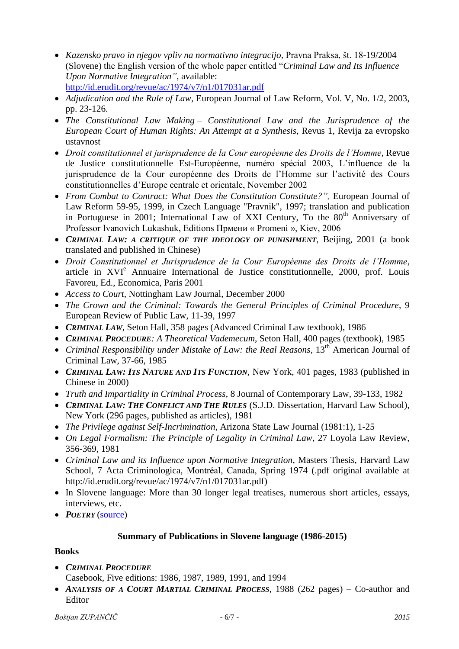- *Kazensko pravo in njegov vpliv na normativno integracijo*, Pravna Praksa, št. 18-19/2004 (Slovene) the English version of the whole paper entitled "*Criminal Law and Its Influence Upon Normative Integration"*, available: <http://id.erudit.org/revue/ac/1974/v7/n1/017031ar.pdf>
- *Adjudication and the Rule of Law*, European Journal of Law Reform, Vol. V, No. 1/2, 2003, pp. 23-126.
- The Constitutional Law Making Constitutional Law and the Jurisprudence of the *European Court of Human Rights: An Attempt at a Synthesis*, Revus 1, Revija za evropsko ustavnost
- *Droit constitutionnel et jurisprudence de la Cour européenne des Droits de l'Homme*, Revue de Justice constitutionnelle Est-Européenne, numéro spécial 2003, L'influence de la jurisprudence de la Cour européenne des Droits de l'Homme sur l'activité des Cours constitutionnelles d'Europe centrale et orientale, November 2002
- *From Combat to Contract: What Does the Constitution Constitute?",* European Journal of Law Reform 59-95, 1999, in Czech Language "Pravnik", 1997; translation and publication in Portuguese in 2001; International Law of XXI Century, To the  $80<sup>th</sup>$  Anniversary of Professor Ivanovich Lukashuk, Editions Прмени « Promeni », Kiev, 2006
- CRIMINAL LAW: A CRITIQUE OF THE IDEOLOGY OF PUNISHMENT, Beijing, 2001 (a book translated and published in Chinese)
- *Droit Constitutionnel et Jurisprudence de la Cour Européenne des Droits de l'Homme*, article in XVI<sup>e</sup> Annuaire International de Justice constitutionnelle, 2000, prof. Louis Favoreu, Ed., Economica, Paris 2001
- *Access to Court*, Nottingham Law Journal, December 2000
- *The Crown and the Criminal: Towards the General Principles of Criminal Procedure*, 9 European Review of Public Law, 11-39, 1997
- CRIMINAL LAW, Seton Hall, 358 pages (Advanced Criminal Law textbook), 1986
- *CRIMINAL PROCEDURE: A Theoretical Vademecum*, Seton Hall, 400 pages (textbook), 1985
- Criminal Responsibility under Mistake of Law: the Real Reasons, 13<sup>th</sup> American Journal of Criminal Law, 37-66, 1985
- *CRIMINAL LAW: ITS NATURE AND ITS FUNCTION*, New York, 401 pages, 1983 (published in Chinese in 2000)
- *Truth and Impartiality in Criminal Process*, 8 Journal of Contemporary Law, 39-133, 1982
- *CRIMINAL LAW: THE CONFLICT AND THE RULES* (S.J.D. Dissertation, Harvard Law School), New York (296 pages, published as articles), 1981
- *The Privilege against Self-Incrimination*, Arizona State Law Journal (1981:1), 1-25
- *On Legal Formalism: The Principle of Legality in Criminal Law*, 27 Loyola Law Review, 356-369, 1981
- *Criminal Law and its Influence upon Normative Integration*, Masters Thesis, Harvard Law School, 7 Acta Criminologica, Montréal, Canada, Spring 1974 (.pdf original available at http://id.erudit.org/revue/ac/1974/v7/n1/017031ar.pdf)
- In Slovene language: More than 30 longer legal treatises, numerous short articles, essays, interviews, etc.
- *POETRY* [\(source\)](http://www.locutio.si/index.php?no=89&clanek=2695)

# **Summary of Publications in Slovene language (1986-2015)**

# **Books**

- *CRIMINAL PROCEDURE* Casebook, Five editions: 1986, 1987, 1989, 1991, and 1994
- *ANALYSIS OF A COURT MARTIAL CRIMINAL PROCESS*, 1988 (262 pages) Co-author and Editor